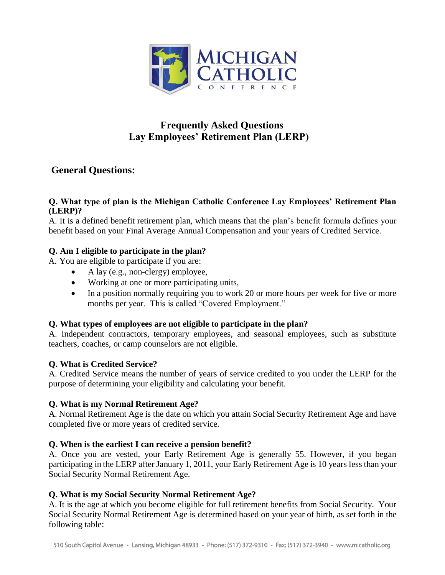

# **Frequently Asked Questions Lay Employees' Retirement Plan (LERP)**

# **General Questions:**

## **Q. What type of plan is the Michigan Catholic Conference Lay Employees' Retirement Plan (LERP)?**

A. It is a defined benefit retirement plan, which means that the plan's benefit formula defines your benefit based on your Final Average Annual Compensation and your years of Credited Service.

# **Q. Am I eligible to participate in the plan?**

A. You are eligible to participate if you are:

- A lay (e.g., non-clergy) employee,
- Working at one or more participating units,
- In a position normally requiring you to work 20 or more hours per week for five or more months per year. This is called "Covered Employment."

# **Q. What types of employees are not eligible to participate in the plan?**

A. Independent contractors, temporary employees, and seasonal employees, such as substitute teachers, coaches, or camp counselors are not eligible.

# **Q. What is Credited Service?**

A. Credited Service means the number of years of service credited to you under the LERP for the purpose of determining your eligibility and calculating your benefit.

# **Q. What is my Normal Retirement Age?**

A. Normal Retirement Age is the date on which you attain Social Security Retirement Age and have completed five or more years of credited service.

# **Q. When is the earliest I can receive a pension benefit?**

A. Once you are vested, your Early Retirement Age is generally 55. However, if you began participating in the LERP after January 1, 2011, your Early Retirement Age is 10 years less than your Social Security Normal Retirement Age.

# **Q. What is my Social Security Normal Retirement Age?**

A. It is the age at which you become eligible for full retirement benefits from Social Security. Your Social Security Normal Retirement Age is determined based on your year of birth, as set forth in the following table: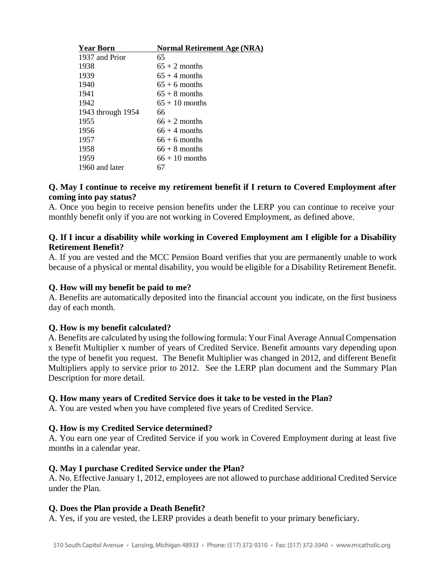| <b>Year Born</b>  | <b>Normal Retirement Age (NRA)</b> |
|-------------------|------------------------------------|
| 1937 and Prior    | 65                                 |
| 1938              | $65 + 2$ months                    |
| 1939              | $65 + 4$ months                    |
| 1940              | $65 + 6$ months                    |
| 1941              | $65 + 8$ months                    |
| 1942              | $65 + 10$ months                   |
| 1943 through 1954 | 66                                 |
| 1955              | $66 + 2$ months                    |
| 1956              | $66 + 4$ months                    |
| 1957              | $66 + 6$ months                    |
| 1958              | $66 + 8$ months                    |
| 1959              | $66 + 10$ months                   |
| 1960 and later    | 67                                 |

## **Q. May I continue to receive my retirement benefit if I return to Covered Employment after coming into pay status?**

A. Once you begin to receive pension benefits under the LERP you can continue to receive your monthly benefit only if you are not working in Covered Employment, as defined above.

## **Q. If I incur a disability while working in Covered Employment am I eligible for a Disability Retirement Benefit?**

A. If you are vested and the MCC Pension Board verifies that you are permanently unable to work because of a physical or mental disability, you would be eligible for a Disability Retirement Benefit.

# **Q. How will my benefit be paid to me?**

A. Benefits are automatically deposited into the financial account you indicate, on the first business day of each month.

# **Q. How is my benefit calculated?**

A. Benefits are calculated by using the following formula: Your Final Average Annual Compensation x Benefit Multiplier x number of years of Credited Service. Benefit amounts vary depending upon the type of benefit you request. The Benefit Multiplier was changed in 2012, and different Benefit Multipliers apply to service prior to 2012. See the LERP plan document and the Summary Plan Description for more detail.

### **Q. How many years of Credited Service does it take to be vested in the Plan?**

A. You are vested when you have completed five years of Credited Service.

### **Q. How is my Credited Service determined?**

A. You earn one year of Credited Service if you work in Covered Employment during at least five months in a calendar year.

### **Q. May I purchase Credited Service under the Plan?**

A. No. Effective January 1, 2012, employees are not allowed to purchase additional Credited Service under the Plan.

### **Q. Does the Plan provide a Death Benefit?**

A. Yes, if you are vested, the LERP provides a death benefit to your primary beneficiary.